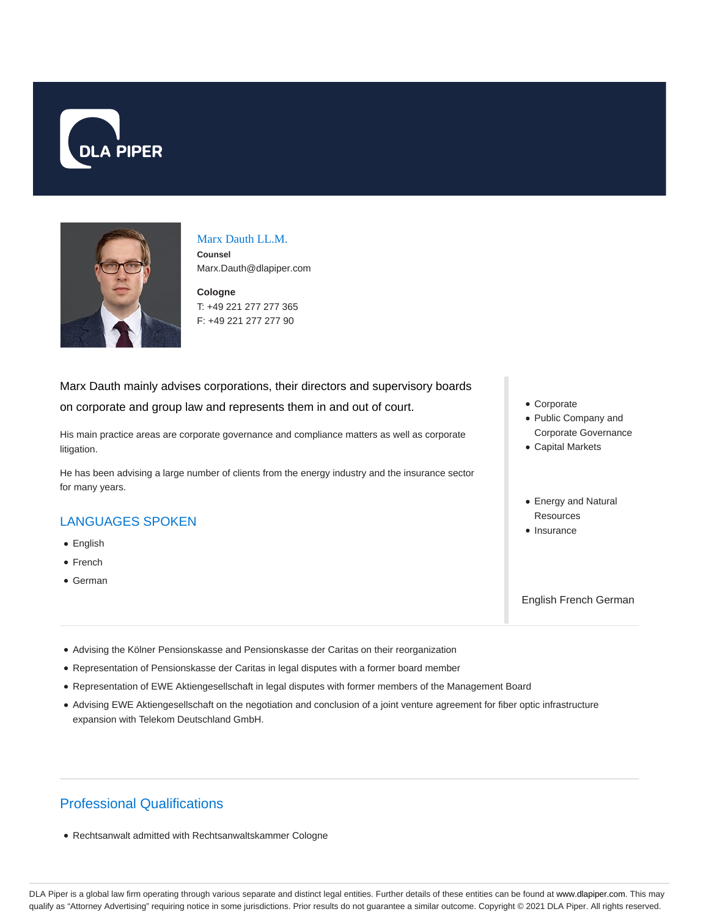



# Marx Dauth LL.M.

**Counsel** Marx.Dauth@dlapiper.com

**Cologne** T: +49 221 277 277 365 F: +49 221 277 277 90

#### Marx Dauth mainly advises corporations, their directors and supervisory boards

on corporate and group law and represents them in and out of court.

His main practice areas are corporate governance and compliance matters as well as corporate litigation.

He has been advising a large number of clients from the energy industry and the insurance sector for many years.

# LANGUAGES SPOKEN

- English
- French
- German
- Corporate
- Public Company and Corporate Governance
- Capital Markets
- Energy and Natural **Resources**
- Insurance

English French German

- Advising the Kölner Pensionskasse and Pensionskasse der Caritas on their reorganization
- Representation of Pensionskasse der Caritas in legal disputes with a former board member
- Representation of EWE Aktiengesellschaft in legal disputes with former members of the Management Board
- Advising EWE Aktiengesellschaft on the negotiation and conclusion of a joint venture agreement for fiber optic infrastructure expansion with Telekom Deutschland GmbH.

# Professional Qualifications

Rechtsanwalt admitted with Rechtsanwaltskammer Cologne

DLA Piper is a global law firm operating through various separate and distinct legal entities. Further details of these entities can be found at www.dlapiper.com. This may qualify as "Attorney Advertising" requiring notice in some jurisdictions. Prior results do not guarantee a similar outcome. Copyright © 2021 DLA Piper. All rights reserved.